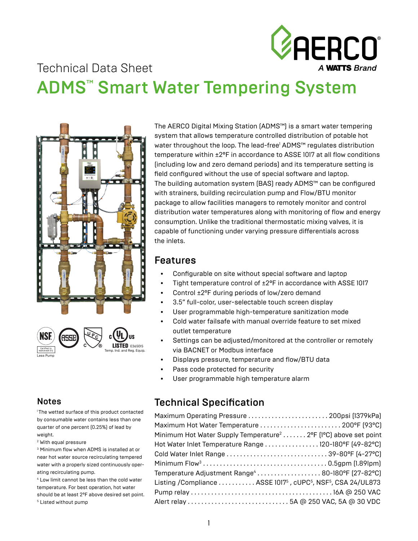

# Technical Data Sheet ADMS™ Smart Water Tempering System





The AERCO Digital Mixing Station (ADMS™) is a smart water tempering system that allows temperature controlled distribution of potable hot water throughout the loop. The lead-free<sup>1</sup> ADMS™ regulates distribution temperature within ±2ºF in accordance to ASSE 1017 at all flow conditions (including low and zero demand periods) and its temperature setting is field configured without the use of special software and laptop. The building automation system (BAS) ready ADMS™ can be configured with strainers, building recirculation pump and Flow/BTU monitor package to allow facilities managers to remotely monitor and control distribution water temperatures along with monitoring of flow and energy consumption. Unlike the traditional thermostatic mixing valves, it is capable of functioning under varying pressure differentials across the inlets.

#### Features

- Configurable on site without special software and laptop
- Tight temperature control of ±2ºF in accordance with ASSE 1017
- Control ±2°F during periods of low/zero demand
- 3.5" full-color, user-selectable touch screen display
- User programmable high-temperature sanitization mode
- Cold water failsafe with manual override feature to set mixed outlet temperature
- Settings can be adjusted/monitored at the controller or remotely via BACNET or Modbus interface
- Displays pressure, temperature and flow/BTU data
- Pass code protected for security
- User programmable high temperature alarm

### Technical Specification

| Maximum Operating Pressure  200psi (1379kPa)                                                       |  |
|----------------------------------------------------------------------------------------------------|--|
|                                                                                                    |  |
| Minimum Hot Water Supply Temperature <sup>2</sup> 2°F (1°C) above set point                        |  |
| Hot Water Inlet Temperature Range  120-180°F (49-82°C)                                             |  |
|                                                                                                    |  |
|                                                                                                    |  |
| Temperature Adjustment Range <sup>4</sup> 80-180°F (27-82°C)                                       |  |
| Listing / Compliance  ASSE 1017 <sup>5</sup> , cUPC <sup>5</sup> , NSF <sup>5</sup> , CSA 24/UL873 |  |
|                                                                                                    |  |
|                                                                                                    |  |

#### **Notes**

1 The wetted surface of this product contacted by consumable water contains less than one quarter of one percent (0.25%) of lead by weight.

2 With equal pressure

3 Minimum flow when ADMS is installed at or near hot water source recirculating tempered water with a properly sized continuously operating recirculating pump.

4 Low limit cannot be less than the cold water temperature. For best operation, hot water should be at least 2°F above desired set point. 5 Listed without pump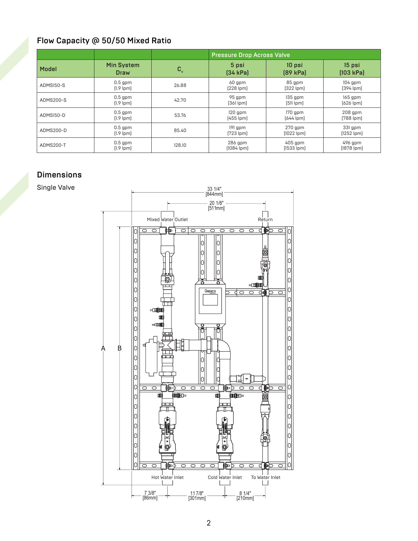### Flow Capacity @ 50/50 Mixed Ratio

|           |                             |             | <b>Pressure Drop Across Valve</b>                           |                             |                             |  |  |
|-----------|-----------------------------|-------------|-------------------------------------------------------------|-----------------------------|-----------------------------|--|--|
| Model     | <b>Min System</b><br>Draw   | $C_{\rm v}$ | 5 psi<br>[34 kPa]                                           | 10 psi<br>[89 kPa]          | 15 psi<br>[103 kPa]         |  |  |
| ADMS150-S | $0.5$ gpm<br>$[1.9$ lpm $]$ | 26.88       | 60 gpm<br>$[228$ lpm $]$                                    | 85 gpm<br>$[322$ lpm $]$    | $104$ gpm<br>$[394$ lpm]    |  |  |
| ADMS200-S | $0.5$ gpm<br>$[1.9$ lpm $]$ | 42.70       | 95 gpm<br>$[361$ lpm $]$                                    | $135$ gpm<br>$[511$ lpm $]$ | $165$ gpm<br>$[626$ lpm $]$ |  |  |
| ADMS150-D | $0.5$ gpm<br>$[1.9$ lpm $]$ | 53.76       | $120$ gpm<br>$[455$ lpm                                     | 170 gpm<br>$[644$ lpm       | $208$ gpm<br>$[788$ lpm $]$ |  |  |
| ADMS200-D | $0.5$ gpm<br>$[1.9$ lpm $]$ | 85.40       | $191$ gpm<br>$270$ gpm<br>$[723$ lpm $]$<br>$[1022$ lpm $]$ |                             | 331 gpm<br>$[1252$ lpm $]$  |  |  |
| ADMS200-T | $0.5$ gpm<br>$[1.9$ lpm $]$ | 128.10      | $286$ gpm<br>$[1084$ lpm                                    | $405$ gpm<br>$[1533$ lpm]   | 496 gpm<br>$[1878$ lpm      |  |  |

#### **Dimensions**

Single Valve

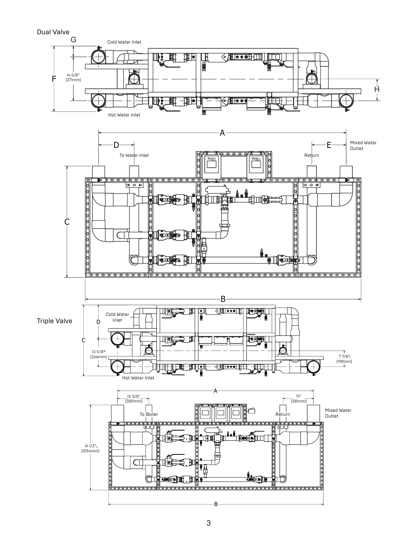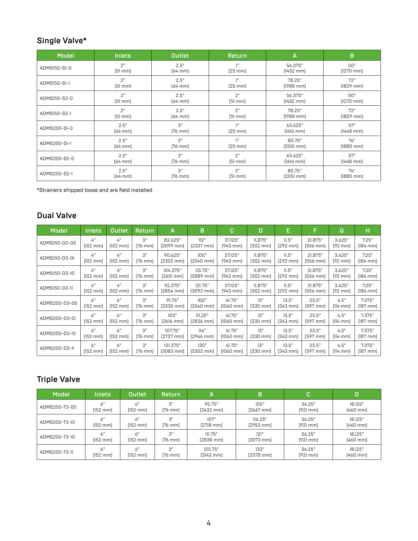### Single Valve\*

| <b>Model</b> | <b>Inlets</b>  | <b>Outlet</b> | Return             | A                   | B              |  |  |
|--------------|----------------|---------------|--------------------|---------------------|----------------|--|--|
| ADMS150-S1-0 | 2 <sup>n</sup> | 2.5''         | $1^{\prime\prime}$ | 56.375"             | 50"            |  |  |
|              | [51 mm]        | $[64$ mm      | [25 mm]            | $[1432 \, mm]$      | $[1270$ mm $]$ |  |  |
| ADMS150-S1-1 | 2 <sup>n</sup> | 2.5''         | $1^{\prime\prime}$ | 78.25"              | 72"            |  |  |
|              | [51 mm]        | $[64$ mm      | $[25$ mm           | $[1988$ mm          | $[1829$ mm $]$ |  |  |
| ADMS150-S2-0 | 2 <sup>n</sup> | 2.5''         | 2 <sup>n</sup>     | 56.375"             | 50"            |  |  |
|              | [51 mm]        | $[64$ mm      | [51 mm]            | $[1432 \text{ mm}]$ | $[1270$ mm     |  |  |
| ADMS150-S2-1 | 2 <sup>n</sup> | 2.5''         | 2 <sup>n</sup>     | 78.25"              | 72"            |  |  |
|              | [51 mm]        | $[64$ mm $]$  | [51 mm]            | $[1988$ mm          | $[1829$ mm     |  |  |
| ADMS200-S1-0 | 2.5''          | 3''           | $1^{\prime\prime}$ | 63.625"             | 57"            |  |  |
|              | $[64$ mm $]$   | $[76$ mm $]$  | $[25$ mm           | $[1616$ mm          | $[1448$ mm     |  |  |
| ADMS200-S1-1 | 2.5''          | 3''           | $1^{\prime\prime}$ | 80.75"              | 74''           |  |  |
|              | $[64$ mm       | $[76$ mm $]$  | $[25$ mm           | [2051 mm]           | $[1880$ mm     |  |  |
| ADMS200-S2-0 | 2.5''          | 3''           | 2 <sup>n</sup>     | 63.625"             | 57"            |  |  |
|              | $[64$ mm       | $[76$ mm $]$  | [51 mm]            | $[1616$ mm          | $[1448$ mm     |  |  |
| ADMS200-S2-1 | 2.5''          | 3''           | 2 <sup>n</sup>     | 80.75"              | 74''           |  |  |
|              | $[64$ mm       | $[76$ mm $]$  | [51 mm]            | [2051 mm]           | $[1880$ mm     |  |  |

\*Strainers shipped loose and are field installed

#### Dual Valve

| <b>Model</b>  | <b>Inlets</b>      | Outlet,            | <b>Return</b>      | А                   | в                   | с          | D                  | E                  | F.                 | G                  | н                  |
|---------------|--------------------|--------------------|--------------------|---------------------|---------------------|------------|--------------------|--------------------|--------------------|--------------------|--------------------|
| ADMS150-D3-00 | 4 <sup>''</sup>    | 4 <sup>n</sup>     | 3"                 | 82.625"             | 92"                 | 37.125"    | 11.875"            | 11.5''             | 21.875"            | 3.625''            | 7.25''             |
|               | $[102 \text{ mm}]$ | $[102 \text{ mm}]$ | $[76$ mm $]$       | $[2099$ mm          | $[2337$ mm          | $[943$ mm  | $[302 \text{ mm}]$ | [292 mm]           | (556 mm)           | [92 mm]            | $[184$ mm          |
| ADMS150-D3-01 | 4 <sup>''</sup>    | 4 <sup>''</sup>    | 3"                 | 90.625"             | 100''               | 37.125"    | 11.875"            | 11.5''             | 21.875"            | 3.625''            | 7.25''             |
|               | $[102 \text{ mm}]$ | $[102 \text{ mm}]$ | $[76$ mm $]$       | $[2302 \text{ mm}]$ | $[2540$ mm          | $[943$ mm  | $[302 \text{ mm}]$ | $[292 \text{ mm}]$ | (556 mm)           | $[92 \text{ mm}]$  | $[184$ mm          |
| ADMS150-D3-10 | 4 <sup>''</sup>    | 4 <sup>''</sup>    | 3"                 | 104.375"            | 113.75''            | 37.125"    | 11.875"            | 11.5''             | 21.875"            | 3.625''            | 7.25''             |
|               | $[102 \text{ mm}]$ | $[102 \text{ mm}]$ | $[76 \text{ mm}]$  | $[2651$ mm          | (2889 mm)           | $[943$ mm  | $[302 \text{ mm}]$ | $[292$ mm          | $[556 \text{ mm}]$ | $[92 \text{ mm}]$  | $[184$ mm          |
| ADMS150-D3-11 | 4 <sup>''</sup>    | 4 <sup>''</sup>    | 3"                 | 112.375"            | 121.75"             | 37.125"    | 11.875"            | 11.5''             | 21.875"            | 3.625"             | 7.25''             |
|               | $[102 \text{ mm}]$ | $[102 \text{ mm}]$ | $[76 \text{ mm}]$  | $[2854 \text{ mm}]$ | $[3092 \text{ mm}]$ | (943 mm)   | $[302 \text{ mm}]$ | $[292 \text{ mm}]$ | $[556 \text{ mm}]$ | [92 mm]            | $[184 \text{ mm}]$ |
| ADMS200-D3-00 | 6"                 | 6''                | 3"                 | 91.75"              | 100''               | 41.75"     | 13"                | 13.5''             | 23.5''             | 4.5''              | 7.375"             |
|               | [152 mm]           | $[152 \text{ mm}]$ | $[76$ mm $]$       | $[2330$ mm          | $[2540$ mm          | $[1060$ mm | $[330$ mm          | $[343$ mm          | $[597$ mm          | $[114 \text{ mm}]$ | $[187$ mm          |
| ADMS200-D3-01 | 6"                 | 6''                | $3^{\prime\prime}$ | 103''               | 111.25''            | 41.75"     | 13''               | 13.5''             | 23.5''             | 4.5''              | 7.375"             |
|               | [152 mm]           | $[152 \text{ mm}]$ | $[76$ mm $]$       | $[2616$ mm          | $[2826$ mm          | $[1060$ mm | $[330$ mm          | $[343$ mm          | $[597$ mm          | $[114 \text{ mm}]$ | $[187$ mm $]$      |
| ADMS200-D3-10 | 6"                 | 6''                | 3"                 | 107.75"             | 116"                | 41.75"     | 13"                | 13.5''             | 23.5''             | 4.5''              | 7.375"             |
|               | $[152 \text{ mm}]$ | $[152 \text{ mm}]$ | $[76 \text{ mm}]$  | (2737 mm)           | $[2946$ mm          | $[1060$ mm | $[330$ mm          | $[343$ mm          | $[597$ mm          | $[114 \text{ mm}]$ | $[187 \text{ mm}]$ |
| ADMS200-D3-11 | 6"                 | 6''                | 3"                 | 121.375"            | 130"                | 41.75"     | 13"                | 13.5''             | 23.5''             | 4.5''              | 7.375"             |
|               | [152 mm]           | [152 mm]           | $[76$ mm $]$       | $[3083$ mm          | $[3302 \text{ mm}]$ | $[1060$ mm | $[330$ mm          | $[343$ mm          | $[597$ mm          | $[114 \text{ mm}]$ | $[187$ mm $]$      |

### Triple Valve

| Model         | Inlets        | <b>Outlet</b>      | <b>Return</b>     | А                   | в          | с         | D         |
|---------------|---------------|--------------------|-------------------|---------------------|------------|-----------|-----------|
| ADMS200-T3-00 | 6"            | 6''                | $\Omega''$        | 95.75"              | 105''      | 36.25"    | 18.125"   |
|               | [152 mm]      | $[152 \text{ mm}]$ | $[76 \text{ mm}]$ | $[2432$ mm          | $[2667$ mm | $[921$ mm | $[460$ mm |
| ADMS200-T3-01 | 6"            | 6"                 | 3"                | 107"                | 116.25''   | 36.25''   | 18.125"   |
|               | $[152$ mm $]$ | $[152$ mm $]$      | [76 mm]           | $[2718 \text{ mm}]$ | $[2953$ mm | $[921$ mm | $[460$ mm |
| ADMS200-T3-10 | 6"            | 6''                | 3''               | 111.75''            | 121''      | 36.25''   | 18.125"   |
|               | [152 mm]      | [152 mm]           | $[76 \text{ mm}]$ | $[2838$ mm          | $[3073$ mm | $[921$ mm | $[460$ mm |
| ADMS200-T3-11 | 6"            | 6''                | 3"                | 123.75"             | 133''      | 36.25''   | 18.125"   |
|               | $[152$ mm $]$ | $[152$ mm $]$      | $[76 \text{ mm}]$ | $[3143$ mm          | $[3378$ mm | $[921$ mm | $[460$ mm |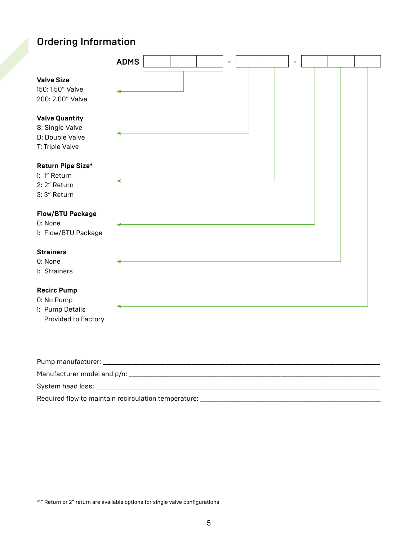## Ordering Information

|                                                                                | <b>ADMS</b> |  | - |  | ۰ |  |  |
|--------------------------------------------------------------------------------|-------------|--|---|--|---|--|--|
| <b>Valve Size</b><br>150: 1.50" Valve<br>200: 2.00" Valve                      |             |  |   |  |   |  |  |
| <b>Valve Quantity</b><br>S: Single Valve<br>D: Double Valve<br>T: Triple Valve |             |  |   |  |   |  |  |
| Return Pipe Size*<br>1: 1" Return<br>2: 2" Return<br>3:3" Return               |             |  |   |  |   |  |  |
| <b>Flow/BTU Package</b><br>0: None<br>1: Flow/BTU Package                      |             |  |   |  |   |  |  |
| <b>Strainers</b><br>0: None<br>1: Strainers                                    |             |  |   |  |   |  |  |
| <b>Recirc Pump</b><br>0: No Pump<br>1: Pump Details<br>Provided to Factory     |             |  |   |  |   |  |  |

| Pump manufacturer: The contract of the contract of the contract of the contract of the contract of the contract of the contract of the contract of the contract of the contract of the contract of the contract of the contrac |  |
|--------------------------------------------------------------------------------------------------------------------------------------------------------------------------------------------------------------------------------|--|
| Manufacturer model and p/n:                                                                                                                                                                                                    |  |
|                                                                                                                                                                                                                                |  |
| Required flow to maintain recirculation temperature:                                                                                                                                                                           |  |

\*1" Return or 2" return are available options for single valve configurations